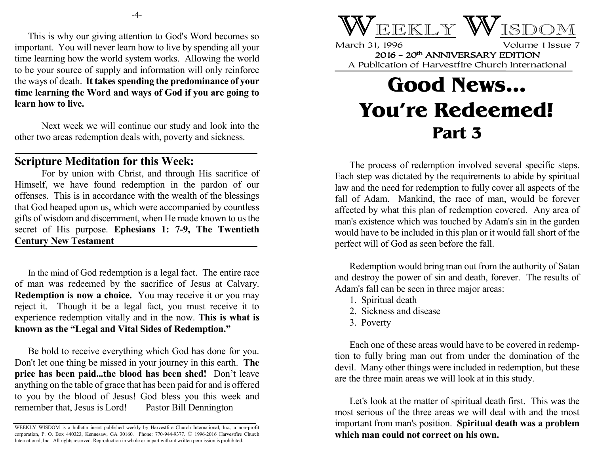This is why our giving attention to God's Word becomes so important. You will never learn how to live by spending all your time learning how the world system works. Allowing the world to be your source of supply and information will only reinforce the ways of death. **It takes spending the predominance of your time learning the Word and ways of God if you are going to learn how to live.**

Next week we will continue our study and look into the other two areas redemption deals with, poverty and sickness.

## **Scripture Meditation for this Week:**

For by union with Christ, and through His sacrifice of Himself, we have found redemption in the pardon of our offenses. This is in accordance with the wealth of the blessings that God heaped upon us, which were accompanied by countless gifts of wisdom and discernment, when He made known to us the secret of His purpose. **Ephesians 1: 7-9, The Twentieth Century New Testament** 

In the mind of God redemption is a legal fact. The entire race of man was redeemed by the sacrifice of Jesus at Calvary. **Redemption is now a choice.** You may receive it or you may reject it. Though it be a legal fact, you must receive it to experience redemption vitally and in the now. **This is what is known as the "Legal and Vital Sides of Redemption."**

Be bold to receive everything which God has done for you. Don't let one thing be missed in your journey in this earth. **The price has been paid...the blood has been shed!** Don't leave anything on the table of grace that has been paid for and is offered to you by the blood of Jesus! God bless you this week and remember that, Jesus is Lord! Pastor Bill Dennington



March 31, 1996 Volume 1 Issue 7 2016 - 20th ANNIVERSARY EDITION A Publication of Harvestfire Church International

## **Good News... You're Redeemed! Part 3**

The process of redemption involved several specific steps. Each step was dictated by the requirements to abide by spiritual law and the need for redemption to fully cover all aspects of the fall of Adam. Mankind, the race of man, would be forever affected by what this plan of redemption covered. Any area of man's existence which was touched by Adam's sin in the garden would have to be included in this plan or it would fall short of the perfect will of God as seen before the fall.

Redemption would bring man out from the authority of Satan and destroy the power of sin and death, forever. The results of Adam's fall can be seen in three major areas:

- 1. Spiritual death
- 2. Sickness and disease
- 3. Poverty

Each one of these areas would have to be covered in redemption to fully bring man out from under the domination of the devil. Many other things were included in redemption, but these are the three main areas we will look at in this study.

Let's look at the matter of spiritual death first. This was the most serious of the three areas we will deal with and the most important from man's position. **Spiritual death was a problem which man could not correct on his own.**

WEEKLY WISDOM is a bulletin insert published weekly by Harvestfire Church International, Inc., a non-profit corporation, P. O. Box 440323, Kennesaw, GA 30160. Phone: 770-944-9377. © 1996-2016 Harvestfire Church International, Inc. All rights reserved. Reproduction in whole or in part without written permission is prohibited.